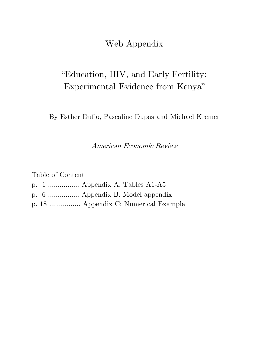Web Appendix

### "Education, HIV, and Early Fertility: Experimental Evidence from Kenya"

By Esther Duflo, Pascaline Dupas and Michael Kremer

American Economic Review

Table of Content

- p. 1 ……………. Appendix A: Tables A1-A5
- p. 6 ……………. Appendix B: Model appendix
- p. 18 ……………. Appendix C: Numerical Example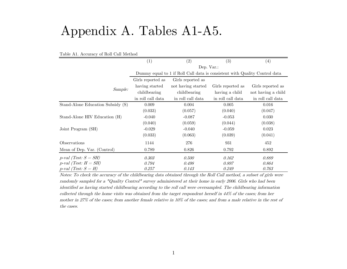# Appendix A. Tables A1-A5.

|                                   | $\left( 1\right)$                                                          | (2)                | (3)               | $\left( 4\right)$  |  |  |  |
|-----------------------------------|----------------------------------------------------------------------------|--------------------|-------------------|--------------------|--|--|--|
|                                   |                                                                            | Dep. Var.:         |                   |                    |  |  |  |
|                                   | Dummy equal to 1 if Roll Call data is consistent with Quality Control data |                    |                   |                    |  |  |  |
|                                   | Girls reported as                                                          | Girls reported as  |                   |                    |  |  |  |
|                                   | having started                                                             | not having started | Girls reported as | Girls reported as  |  |  |  |
| Sample:                           | childbearing                                                               | childbearing       | having a child    | not having a child |  |  |  |
|                                   | in roll call data                                                          | in roll call data  | in roll call data | in roll call data  |  |  |  |
| Stand-Alone Education Subsidy (S) | 0.009                                                                      | 0.004              | 0.005             | 0.016              |  |  |  |
|                                   | (0.033)                                                                    | (0.057)            | (0.040)           | (0.047)            |  |  |  |
| Stand-Alone HIV Education (H)     | $-0.040$                                                                   | $-0.087$           | $-0.053$          | 0.030              |  |  |  |
|                                   | (0.040)                                                                    | (0.059)            | (0.044)           | (0.038)            |  |  |  |
| Joint Program (SH)                | $-0.029$                                                                   | $-0.040$           | $-0.059$          | 0.023              |  |  |  |
|                                   | (0.033)                                                                    | (0.063)            | (0.039)           | (0.041)            |  |  |  |
| Observations                      | 1144                                                                       | 276                | 931               | 452                |  |  |  |
| Mean of Dep. Var. (Control)       | 0.789                                                                      | 0.826              | 0.792             | 0.892              |  |  |  |
| $p$ -val (Test: $S = SH$ )        | 0.303                                                                      | 0.500              | 0.162             | 0.889              |  |  |  |
| $p$ -val (Test: $H = SH$ )        | 0.794                                                                      | 0.498              | 0.897             | 0.864              |  |  |  |
| $p$ -val (Test: $S = H$ )         | 0.257                                                                      | 0.143              | 0.249             | 0.763              |  |  |  |

Table A1. Accuracy of Roll Call Method

Notes: To check the accuracy of the childbearing data obtained through the Roll Call method, a subset of girls were randomly sampled for a "Quality Control" survey administered at their home in early 2006. Girls who had been identified as having started childbearing according to the roll call were oversampled. The childbearing information collected through the home visits was obtained from the target respondent herself in 44% of the cases; from her mother in 27% of the cases; from another female relative in 10% of the cases; and from a male relative in the rest of the cases.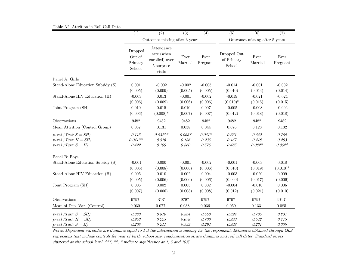|  |  |  |  | Table A2. Attrition in Roll Call Data |  |
|--|--|--|--|---------------------------------------|--|
|--|--|--|--|---------------------------------------|--|

|                                                                                       | (1)                                    | (2)                                                                | (3)                        | (4)                                  | (5)                                 | (6)                                  | (7)                              |  |
|---------------------------------------------------------------------------------------|----------------------------------------|--------------------------------------------------------------------|----------------------------|--------------------------------------|-------------------------------------|--------------------------------------|----------------------------------|--|
|                                                                                       |                                        | Outcomes missing after 3 years                                     |                            |                                      | Outcomes missing after 5 years      |                                      |                                  |  |
|                                                                                       | Dropped<br>Out of<br>Primary<br>School | Attendance<br>rate (when<br>enrolled) over<br>5 surprise<br>visits | ${\rm Ever}$<br>Married    | Ever<br>Pregnant                     | Dropped Out<br>of Primary<br>School | ${\rm Ever}$<br>Married              | Ever<br>Pregnant                 |  |
| Panel A. Girls                                                                        |                                        |                                                                    |                            |                                      |                                     |                                      |                                  |  |
| Stand-Alone Education Subsidy (S)                                                     | 0.001<br>(0.005)                       | $-0.002$<br>(0.009)                                                | $-0.002$<br>(0.005)        | $-0.005$<br>(0.005)                  | $-0.014$<br>(0.010)                 | $-0.001$<br>(0.014)                  | $-0.002$<br>(0.014)              |  |
| Stand-Alone HIV Education (H)                                                         | $-0.003$<br>(0.006)                    | 0.013<br>(0.009)                                                   | $-0.001$<br>(0.006)        | $-0.002$<br>(0.006)                  | $-0.019$<br>$(0.010)*$              | $-0.021$<br>(0.015)                  | $-0.024$<br>(0.015)              |  |
| Joint Program (SH)                                                                    | 0.010<br>(0.006)                       | 0.015<br>$(0.008)*$                                                | 0.010<br>(0.007)           | 0.007<br>(0.007)                     | $-0.005$<br>(0.012)                 | $-0.008$<br>(0.018)                  | $-0.006$<br>(0.018)              |  |
| Observations                                                                          | 9482                                   | 9482                                                               | 9482                       | 9482                                 | 9482                                | 9482                                 | 9482                             |  |
| Mean Attrition (Control Group)                                                        | 0.037                                  | 0.131                                                              | 0.038                      | 0.044                                | 0.076                               | 0.123                                | 0.132                            |  |
| $p$ -val (Test: $S = SH$ )<br>$p$ -val (Test: $H = SH$ )<br>$p$ -val (Test: $S = H$ ) | 0.115<br>$0.041**$<br>0.422            | $0.037**$<br>$0.816\,$<br>$0.109\,$                                | $0.063*$<br>0.136<br>0.860 | $0.061*$<br>$\it 0.235$<br>$0.575\,$ | 0.331<br>0.167<br>$0.485\,$         | 0.642<br>$0.418\,$<br>$0.082^{\ast}$ | 0.789<br>0.263<br>$0.052^{\ast}$ |  |
| Panel B: Boys                                                                         |                                        |                                                                    |                            |                                      |                                     |                                      |                                  |  |
| Stand-Alone Education Subsidy (S)                                                     | $-0.001$<br>(0.005)                    | 0.000<br>(0.008)                                                   | $-0.001$<br>(0.006)        | $-0.002$<br>(0.006)                  | $-0.001$<br>(0.010)                 | $-0.003$<br>(0.019)                  | 0.018<br>$(0.010)*$              |  |
| Stand-Alone HIV Education (H)                                                         | 0.005<br>(0.005)                       | 0.010<br>(0.006)                                                   | 0.002<br>(0.006)           | 0.004<br>(0.006)                     | $-0.003$<br>(0.009)                 | $-0.020$<br>(0.017)                  | 0.009<br>(0.009)                 |  |
| Joint Program (SH)                                                                    | $0.005\,$<br>(0.007)                   | $0.002\,$<br>(0.006)                                               | 0.005<br>(0.008)           | $0.002\,$<br>(0.008)                 | $-0.004$<br>(0.012)                 | $-0.010$<br>(0.021)                  | $0.006\,$<br>(0.010)             |  |
| Observations                                                                          | 9797                                   | 9797                                                               | 9797                       | 9797                                 | 9797                                | 9797                                 | 9797                             |  |
| Mean of Dep. Var. (Control)                                                           | 0.030                                  | 0.077                                                              | 0.038                      | 0.036                                | 0.059                               | 0.133                                | 0.085                            |  |
| $p$ -val (Test: $S = SH$ )<br>$p$ -val (Test: $H = SH$ )<br>$p$ -val (Test: $S = H$ ) | $0.380\,$<br>$\it 0.953$<br>$0.208\,$  | 0.810<br>0.223<br>0.211                                            | 0.354<br>0.678<br>0.533    | 0.660<br>0.700<br>0.294              | $0.824\,$<br>0.980<br>0.808         | 0.705<br>0.542<br>0.231              | 0.231<br>$0.715\,$<br>$0.330\,$  |  |

Notes: Dependent variables are dummies equal to 1 if the information is missing for the respondent. Estimates obtained through OLS regressions that include controls for year of birth, school size, randomization strata dummies and roll call dates. Standard errors clustered at the school level. \*\*\*, \*\*, \* indicate significance at 1, 5 and 10%.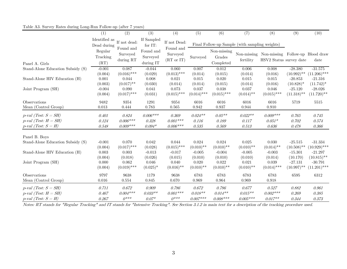#### Table A3. Survey Rates during Long-Run Follow-up (after 7 years)

|                                                                                       | (1)                          | (2)                                    | (3)                                                 | (4)                                 | (5)                               | (6)                                | (7)                                            | (8)                                                                     | (9)                                       | (10)                                         |
|---------------------------------------------------------------------------------------|------------------------------|----------------------------------------|-----------------------------------------------------|-------------------------------------|-----------------------------------|------------------------------------|------------------------------------------------|-------------------------------------------------------------------------|-------------------------------------------|----------------------------------------------|
|                                                                                       | Identified as<br>Dead during | If not dead: $\,$                      | If Sampled<br>for $IT$ :                            | If not Dead:                        |                                   |                                    | Final Follow-up Sample (with sampling weights) |                                                                         |                                           |                                              |
| Panel A. Girls                                                                        | Regular<br>Tracking<br>(RT)  | Found and<br>Surveyed<br>during RT     | Found and<br>Surveyed<br>during $\operatorname{IT}$ | Found and<br>Surveyed<br>(RT or IT) | Surveyed                          | Non-missing<br>Grades<br>Completed | fertility                                      | Non-missing Non-missing Follow-up Blood draw<br>HSV2 Status survey date |                                           | date                                         |
| Stand-Alone Education Subsidy (S)                                                     | $-0.001$                     | 0.087                                  | $-0.044$                                            | 0.060                               | 0.007                             | 0.012                              | 0.006                                          | 0.008                                                                   | $-28.380$                                 | $-31.575$                                    |
| Stand-Alone HIV Education (H)                                                         | (0.004)<br>0.001<br>(0.003)  | $(0.016)$ ***<br>0.044<br>$(0.017)$ ** | (0.029)<br>0.008<br>(0.030)                         | $(0.013)$ ***<br>0.021<br>(0.014)   | (0.014)<br>0.015<br>(0.014)       | (0.015)<br>0.020<br>(0.015)        | (0.014)<br>0.015<br>(0.014)                    | (0.016)<br>0.015<br>(0.016)                                             | $(10.992)$ **<br>$-20.853$<br>$(10.828)*$ | $(11.206)$ ***<br>$-21.316$<br>$(11.742)^*$  |
| Joint Program (SH)                                                                    | $-0.004$<br>(0.004)          | 0.090<br>$(0.017)$ ***                 | 0.041<br>(0.031)                                    | 0.073<br>$(0.015)$ ***              | 0.037<br>$(0.014)$ ***            | 0.038<br>$(0.015)$ ***             | 0.037<br>$(0.014)$ **                          | 0.046<br>$(0.015)$ ***                                                  | $-25.120$<br>$(11.318)$ **                | $-28.026$<br>$(11.720)$ **                   |
| Observations<br>Mean (Control Group)                                                  | 9482<br>$\,0.013\,$          | 9354<br>0.444                          | 1291<br>0.783                                       | $\bf 9354$<br>$\,0.565\,$           | 6016<br>0.942                     | 6016<br>0.937                      | 6016<br>0.944                                  | 6016<br>0.910                                                           | 5719                                      | $5515\,$                                     |
| $p$ -val (Test: $S = SH$ )<br>$p$ -val (Test: $H = SH$ )<br>$p$ -val (Test: $S = H$ ) | 0.401<br>0.124<br>0.548      | 0.824<br>$0.006***$<br>$0.009***$      | $0.006***$<br>$0.328\,$<br>$0.094*$                 | 0.369<br>$0.001***$<br>$0.006***$   | $0.024**$<br>0.116<br>0.535       | $0.05**$<br>$0.189\,$<br>0.569     | $0.022**$<br>0.117<br>0.513                    | $0.009***$<br>$0.051*$<br>0.636                                         | 0.765<br>0.702<br>0.478                   | 0.745<br>0.574<br>$0.366\,$                  |
| Panel B. Boys                                                                         |                              |                                        |                                                     |                                     |                                   |                                    |                                                |                                                                         |                                           |                                              |
| Stand-Alone Education Subsidy (S)<br>Stand-Alone HIV Education (H)                    | $-0.001$<br>(0.004)<br>0.003 | 0.070<br>$(0.017)$ ***<br>0.003        | 0.042<br>(0.028)<br>$-0.013$                        | 0.044<br>$(0.015)$ ***<br>$-0.017$  | 0.024<br>$(0.010)$ **<br>$-0.005$ | 0.024<br>$(0.010)$ **<br>$-0.004$  | 0.025<br>$(0.010)$ **<br>$-0.005$              | 0.030<br>$(0.014)$ **<br>$-0.003$                                       | $-25.515$<br>$(10.508)$ **<br>$-15.301$   | $-31.334$<br>$(10.929)$ ***<br>$-21.297$     |
| Joint Program (SH)                                                                    | (0.004)<br>0.000<br>(0.004)  | (0.018)<br>0.062<br>$(0.019)$ ***      | (0.026)<br>0.046<br>$(0.025)^*$                     | (0.015)<br>0.040<br>$(0.016)$ **    | (0.010)<br>0.020<br>$(0.010)$ **  | (0.010)<br>0.022<br>$(0.010)$ **   | (0.010)<br>0.021<br>$(0.010)$ **               | (0.014)<br>0.039<br>$(0.014)$ ***                                       | (10.170)<br>$-27.131$<br>$(10.997)$ **    | $(10.815)$ **<br>$-30.791$<br>$(11.201)$ *** |
| Observations<br>Mean (Control Group)                                                  | 9797<br>0.016                | 9638<br>$\,0.554\,$                    | 1179<br>$\,0.845\,$                                 | 9638<br>0.670                       | 6783<br>0.969                     | 6783<br>0.964                      | 6783<br>0.969                                  | 6783<br>$\,0.918\,$                                                     | 6595                                      | 6312                                         |
| $p$ -val (Test: $S = SH$ )<br>$p$ -val (Test: $H = SH$ )<br>$p$ -val (Test: $S = H$ ) | 0.711<br>0.467<br>0.267      | 0.672<br>$0.004***$<br>$0***$          | $\it 0.909$<br>$0.033**$<br>$0.07*$                 | 0.786<br>$0.001***$<br>$0***$       | 0.672<br>$0.018**$<br>$0.007***$  | 0.786<br>$0.014**$<br>$0.008***$   | 0.677<br>$0.015**$<br>$0.005***$               | 0.527<br>$0.002***$<br>$0.017**$                                        | 0.882<br>0.269<br>0.344                   | 0.961<br>0.385<br>0.373                      |

Notes: RT stands for "Regular Tracking" and IT stands for "Intensive Tracking". See Section 3.1.2 in main text for a description of the tracking procedure used.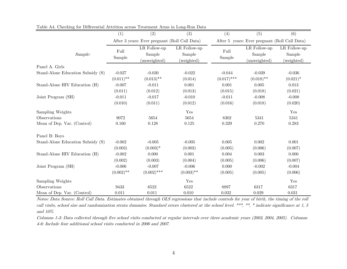|                                   | (1)                 | (2)                                           | (3)                                  | (4)              | (5)                                           | (6)                                  |  |  |
|-----------------------------------|---------------------|-----------------------------------------------|--------------------------------------|------------------|-----------------------------------------------|--------------------------------------|--|--|
|                                   |                     | After 3 years: Ever pregnant (Roll Call Data) |                                      |                  | After 5 years: Ever pregnant (Roll Call Data) |                                      |  |  |
| Sample:                           | Full<br>Sample      | LR Follow-up<br>Sample<br>(unweighted)        | LR Follow-up<br>Sample<br>(weighted) | Full<br>Sample   | LR Follow-up<br>Sample<br>(unweighted)        | LR Follow-up<br>Sample<br>(weighted) |  |  |
| Panel A. Girls                    |                     |                                               |                                      |                  |                                               |                                      |  |  |
| Stand-Alone Education Subsidy (S) | $-0.027$            | $-0.030$                                      | $-0.022$<br>(0.014)                  | $-0.044$         | $-0.039$                                      | $-0.036$                             |  |  |
|                                   | $(0.011)$ **        | $(0.013)$ **                                  |                                      | $(0.017)$ ***    | $(0.018)$ **                                  | $(0.021)^*$                          |  |  |
| Stand-Alone HIV Education (H)     | $-0.007$<br>(0.011) | $-0.011$<br>(0.012)                           | 0.001<br>(0.013)                     | 0.001<br>(0.015) | 0.005<br>(0.018)                              | 0.013<br>(0.021)                     |  |  |
| Joint Program (SH)                | $-0.011$            | $-0.017$                                      | $-0.010$                             | $-0.011$         | $-0.008$                                      | $-0.008$                             |  |  |
|                                   | (0.010)             | (0.011)                                       | (0.012)                              | (0.016)          | (0.018)                                       | (0.020)                              |  |  |
| Sampling Weights                  |                     |                                               | Yes                                  |                  |                                               | Yes                                  |  |  |
| Observations                      | 9072                | 5654                                          | 5654                                 | 8302             | 5341                                          | 5341                                 |  |  |
| Mean of Dep. Var. (Control)       | 0.160               | 0.128                                         | 0.125                                | 0.329            | 0.270                                         | 0.283                                |  |  |
| Panel B: Boys                     |                     |                                               |                                      |                  |                                               |                                      |  |  |
| Stand-Alone Education Subsidy (S) | $-0.002$            | $-0.005$                                      | $-0.005$                             | 0.005            | 0.002                                         | 0.001                                |  |  |
|                                   | (0.003)             | $(0.003)*$                                    | (0.003)                              | (0.005)          | (0.006)                                       | (0.007)                              |  |  |
| Stand-Alone HIV Education (H)     | $-0.002$            | 0.000                                         | 0.001                                | 0.004            | 0.003                                         | 0.000                                |  |  |
|                                   | (0.002)             | (0.003)                                       | (0.004)                              | (0.005)          | (0.006)                                       | (0.007)                              |  |  |
| Joint Program (SH)                | $-0.006$            | $-0.007$                                      | $-0.006$                             | 0.000            | $-0.002$                                      | $-0.004$                             |  |  |
|                                   | $(0.002)$ **        | $(0.002)$ ***                                 | $(0.003)$ **                         | (0.005)          | (0.005)                                       | (0.006)                              |  |  |
| Sampling Weights                  |                     |                                               | Yes                                  |                  |                                               | Yes                                  |  |  |
| Observations                      | 9433                | 6522                                          | 6522                                 | 8897             | 6317                                          | 6317                                 |  |  |
| Mean of Dep. Var. (Control)       | 0.011               | 0.011                                         | 0.010                                | 0.032            | 0.029                                         | 0.031                                |  |  |

Table A4. Checking for Differential Attrition across Treatment Arms in Long-Run Data

Notes: Data Source: Roll Call Data. Estimates obtained through OLS regressions that include controls for year of birth, the timing of the roll call visits, school size and randomization strata dummies. Standard errors clustered at the school level. \*\*\*, \*\*, \* indicate significance at 1, 5 and 10%.

Columns 1-3: Data collected through five school visits conducted at regular intervals over three academic years (2003, 2004, 2005). Columns 4-6: Include four additional school visits conducted in 2006 and 2007.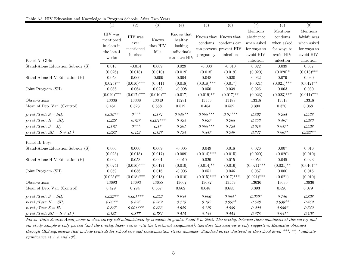|                                   | (1)           | (2)           | (3)          | (4)                                                                                               | (5)           | (6)                            | (7)           | (8)           | (9)           |
|-----------------------------------|---------------|---------------|--------------|---------------------------------------------------------------------------------------------------|---------------|--------------------------------|---------------|---------------|---------------|
|                                   |               |               |              |                                                                                                   |               |                                | Mentions      | Mentions      | Mentions      |
|                                   | HIV was       | HIV was       |              | Knows that                                                                                        |               | Knows that Knows that          | abstinence    | condoms       | faithfulness  |
|                                   | mentioned     | ever          | Knows        | healthy                                                                                           | condoms       | condoms can                    | when asked    | when asked    | when asked    |
|                                   | in class in   | mentioned     | that HIV     | looking                                                                                           |               | can prevent prevent $\rm{HIV}$ | for ways to   | for ways to   | for ways to   |
|                                   | the last $4$  | in class      | kills        | individuals                                                                                       | pregnancy     | infection                      | avoid HIV     | avoid HIV     | avoid HIV     |
| Panel A. Girls                    | weeks         |               |              | $\operatorname*{can}% \operatorname*{supp}\nolimits_{\mathbb{Z}}\mathbb{Z}^{\Sigma}$ can have HIV |               |                                | infection     | infection     | infection     |
| Stand-Alone Education Subsidy (S) | 0.018         | $-0.014$      | 0.009        | 0.029                                                                                             | $-0.003$      | $-0.010$                       | $\rm 0.022$   | 0.039         | 0.037         |
|                                   | (0.026)       | (0.018)       | (0.010)      | (0.019)                                                                                           | (0.018)       | (0.019)                        | (0.020)       | $(0.020)*$    | $(0.013)$ *** |
| Stand-Alone HIV Education (H)     | 0.053         | 0.060         | $-0.009$     | 0.004                                                                                             | 0.048         | 0.020                          | 0.032         | 0.079         | 0.030         |
|                                   | $(0.025)$ **  | $(0.016)$ *** | (0.011)      | (0.018)                                                                                           | $(0.018)$ *** | (0.017)                        | (0.021)       | $(0.021)$ *** | $(0.012)$ **  |
| Joint Program (SH)                | 0.086         | 0.064         | 0.023        | $-0.008$                                                                                          | 0.050         | 0.039                          | 0.025         | 0.063         | 0.030         |
|                                   | $(0.029)$ *** | $(0.017)$ *** | $(0.010)$ ** | (0.017)                                                                                           | $(0.019)$ **  | $(0.017)$ **                   | (0.023)       | $(0.023)$ *** | $(0.011)$ *** |
| Observations                      | 13338         | 13338         | 13340        | 13281                                                                                             | 13353         | 13188                          | 13318         | 13318         | 13318         |
| Mean of Dep. Var. (Control)       | 0.461         | 0.823         | 0.858        | $\,0.512\,$                                                                                       | 0.484         | 0.552                          | 0.390         | 0.370         | 0.068         |
| $p$ -val (Test: $S = SH$ )        | $0.016**$     | $0***$        | 0.174        | $0.048**$                                                                                         | $0.008***$    | $0.01***$                      | $\it 0.892$   | 0.284         | 0.568         |
| $p$ -val (Test: $H = SH$ )        | $0.238\,$     | 0.797         | $0.004***$   | $0.525\,$                                                                                         | $0.927\,$     | 0.268                          | 0.753         | 0.497         | 0.986         |
| $p$ -val (Test: $S = H$ )         | 0.170         | $0***$        | $0.1*$       | 0.201                                                                                             | $0.008***$    | 0.124                          | $0.618\,$     | $0.057*$      | $0.598\,$     |
| $p$ -val (Test: $SH = S + H$ )    | 0.683         | 0.452         | 0.137        | $0.125\,$                                                                                         | $0.847\,$     | 0.249                          | 0.347         | $0.067*$      | $0.033**$     |
| Panel B: Boys                     |               |               |              |                                                                                                   |               |                                |               |               |               |
| Stand-Alone Education Subsidy (S) | 0.006         | 0.000         | 0.009        | $-0.005$                                                                                          | 0.049         | 0.018                          | 0.026         | 0.007         | 0.016         |
|                                   | (0.023)       | (0.018)       | (0.017)      | (0.009)                                                                                           | $(0.014)$ *** | (0.015)                        | (0.020)       | (0.020)       | (0.010)       |
| Stand-Alone HIV Education (H)     | 0.002         | 0.053         | 0.001        | $-0.010$                                                                                          | 0.029         | $\,0.015\,$                    | 0.054         | 0.045         | 0.023         |
|                                   | (0.024)       | $(0.016)$ *** | (0.017)      | (0.010)                                                                                           | $(0.014)$ **  | (0.016)                        | $(0.021)$ *** | $(0.021)$ **  | $(0.010)$ **  |
| Joint Program (SH)                | 0.059         | 0.056         | 0.016        | $-0.006$                                                                                          | 0.051         | 0.046                          | $0.067\,$     | 0.000         | 0.015         |
|                                   | $(0.025)$ **  | $(0.018)$ *** | (0.018)      | (0.010)                                                                                           | $(0.015)$ *** | $(0.017)$ ***                  | $(0.021)$ *** | (0.021)       | (0.010)       |
| Observations                      | 13693         | 13693         | 13655        | 13667                                                                                             | 13682         | 13559                          | 13636         | 13636         | 13636         |
| Mean of Dep. Var. (Control)       | 0.479         | 0.794         | 0.567        | 0.862                                                                                             | 0.648         | 0.655                          | 0.393         | 0.520         | 0.079         |
| $p$ -val (Test: $S = SH$ )        | $0.039**$     | $0.001***$    | 0.659        | 0.934                                                                                             | 0.906         | $0.064*$                       | $0.059*$      | 0.746         | 0.898         |
| $p$ -val (Test: $H = SH$ )        | $0.03**$      | $0.825\,$     | 0.362        | 0.718                                                                                             | 0.152         | $0.057*$                       | $0.548\,$     | $0.036**$     | 0.469         |
| $p$ -val (Test: $S = H$ )         | 0.865         | $0.001***$    | 0.633        | 0.629                                                                                             | 0.179         | 0.850                          | 0.200         | $0.056*$      | 0.542         |
| p-val (Test: $SH = S + H$ )       | $0.135\,$     | 0.877         | 0.784        | $0.515\,$                                                                                         | 0.184         | 0.553                          | $0.678\,$     | $0.081*$      | 0.103         |

Table A5. HIV Education and Knowledge in Program Schools, After Two Years

Notes: Data Source: Anonymous in-class survey self-administered by students in grades 7 and 8 in 2005. The overlap between those administered this survey and our study sample is only partial (and the overlap likely varies with the treatment assignment), therefore this analysis is only suggestive. Estimates obtained through OLS regressions that include controls for school size and randomization strata dummies. Standard errors clustered at the school level. \*\*\*, \*\*, \* indicate significance at 1, 5 and 10%.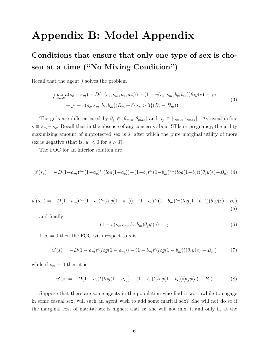## **Appendix B: Model Appendix**

### **Conditions that ensure that only one type of sex is chosen at a time ("No Mixing Condition")**

Recall that the agent *j* solves the problem

$$
\max_{s_c, s_m, e} u(s_c + s_m) - D(\pi(s_c, s_m, a_c, a_m)) + (1 - v(s_c, s_m, b_c, b_m))\theta_j y(e) - \gamma e + y_0 + v(s_c, s_m, b_c, b_m)(B_m + \delta\{s_c > 0\}(B_c - B_m)).
$$
\n(3)

The girls are differentiated by  $\theta_j \in [\theta_{min}, \theta_{max}]$  and  $\gamma_j \in [\gamma_{min}, \gamma_{max}]$ . As usual define  $s \equiv s_m + s_c$ . Recall that in the absence of any concerns about STIs or pregnancy, the utility maximizing amount of unprotected sex is  $\bar{s}$ , after which the pure marginal utility of more sex is negative (that is,  $u' < 0$  for  $s > \bar{s}$ ).

The FOC for an interior solution are

$$
u'(s_c) = -D(1-a_m)^{s_m}(1-a_c)^{s_c}(log(1-a_c)) - (1-b_c)^{s_c}(1-b_m)^{s_m}(log(1-b_c))(\theta_j y(e) - B_c)
$$
 (4)

$$
u'(s_m) = -D(1-a_m)^{s_m}(1-a_c)^{s_c}(log(1-a_m)) - (1-b_c)^{s_c}(1-b_m)^{s_m}(log(1-b_m))(\theta_j y(e) - B_c)
$$
\n(5)

and finally

$$
(1 - v(s_c, s_m, b_c, b_m)\theta_j y'(e) = \gamma
$$
\n(6)

If  $s_c = 0$  then the FOC with respect to *s* is:

$$
u'(s) = -D(1 - a_m)^s(log(1 - a_m)) - (1 - b_m)^s(log(1 - b_m))(\theta_j y(e) - B_m)
$$
 (7)

while if  $s_m = 0$  then it is:

$$
u'(s) = -D(1 - a_c)^s(log(1 - a_c)) - (1 - b_c)^s(log(1 - b_c))(\theta_j y(e) - B_c)
$$
(8)

Suppose that there are some agents in the population who find it worthwhile to engage in some casual sex, will such an agent wish to add some marital sex? She will not do so if the marginal cost of marital sex is higher; that is: she will not mix, if and only if, at the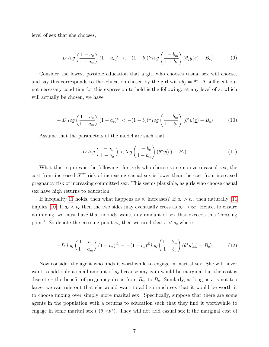level of sex that she chooses,

$$
- D \log \left( \frac{1 - a_c}{1 - a_m} \right) (1 - a_c)^{s_c} < -(1 - b_c)^{s_c} \log \left( \frac{1 - b_m}{1 - b_c} \right) (\theta_j y(e) - B_c) \tag{9}
$$

Consider the lowest possible education that a girl who chooses casual sex will choose, and say this corresponds to the education chosen by the girl with  $\theta_j = \theta^*$ . A sufficient but not necessary condition for this expression to hold is the following: at any level of *s<sup>c</sup>* which will actually be chosen, we have

$$
- D \log \left( \frac{1 - a_c}{1 - a_m} \right) (1 - a_c)^{s_c} < -(1 - b_c)^{s_c} \log \left( \frac{1 - b_m}{1 - b_c} \right) (\theta^* y(\underline{e}) - B_c) \tag{10}
$$

<span id="page-7-1"></span><span id="page-7-0"></span>Assume that the parameters of the model are such that

$$
D \log \left( \frac{1 - a_m}{1 - a_c} \right) < \log \left( \frac{1 - b_c}{1 - b_m} \right) \left( \theta^* y(\underline{e}) - B_c \right) \tag{11}
$$

What this requires is the following: for girls who choose some non-zero casual sex, the cost from increased STI risk of increasing casual sex is lower than the cost from increased pregnancy risk of increasing committed sex. This seems plausible, as girls who choose casual sex have high returns to education.

If inequality [11](#page-7-0) holds, then what happens as  $s_c$  increases? If  $a_c > b_c$ , then naturally 11 implies [10.](#page-7-1) If  $a_c < b_c$  then the two sides may eventually cross as  $s_c \to \infty$ . Hence, to ensure no mixing, we must have that nobody wants any amount of sex that exceeds this "crossing point". So denote the crossing point  $\bar{s_c}$ , then we need that  $\bar{s} < \bar{s_c}$  where

$$
-D \log \left(\frac{1-a_c}{1-a_m}\right) (1-a_c)^{\bar{s_c}} = -(1-b_c)^{\bar{s_c}} \log \left(\frac{1-b_m}{1-b_c}\right) (\theta^* y(\underline{e}) - B_c) \tag{12}
$$

Now consider the agent who finds it worthwhile to engage in marital sex. She will never want to add only a small amount of *s<sup>c</sup>* because any gain would be marginal but the cost is discrete – the benefit of pregnancy drops from  $B<sub>m</sub>$  to  $B<sub>c</sub>$ . Similarly, as long as  $\bar{s}$  is not too large, we can rule out that she would want to add so much sex that it would be worth it to choose mixing over simply more marital sex. Specifically, suppose that there are some agents in the population with a returns to education such that they find it worthwhile to engage in some marital sex ( $(\theta_j < \theta^*)$ ). They will not add casual sex if the marginal cost of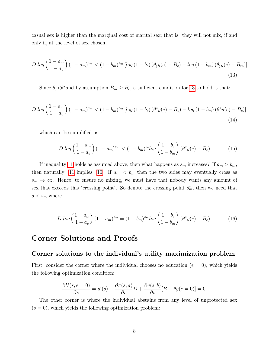casual sex is higher than the marginal cost of marital sex; that is: they will not mix, if and only if, at the level of sex chosen,

<span id="page-8-0"></span>
$$
D \log \left(\frac{1-a_m}{1-a_c}\right) \left(1-a_m\right)^{s_m} < \left(1-b_m\right)^{s_m} \left[ \log \left(1-b_c\right) \left(\theta_j y(e) - B_c\right) - \log \left(1-b_m\right) \left(\theta_j y(e) - B_m\right) \right] \tag{13}
$$

Since  $\theta_j < \theta^*$  and by assumption  $B_m \geq B_c$ , a sufficient condition for [13](#page-8-0) to hold is that:

$$
D \log\left(\frac{1-a_m}{1-a_c}\right) (1-a_m)^{s_m} < (1-b_m)^{s_m} \left[ \log\left(1-b_c\right) \left(\theta^* y(e) - B_c\right) - \log\left(1-b_m\right) \left(\theta^* y(e) - B_c\right) \right] \tag{14}
$$

which can be simplified as:

$$
D \log \left( \frac{1 - a_m}{1 - a_c} \right) (1 - a_m)^{s_m} < (1 - b_m)^{s_c} \log \left( \frac{1 - b_c}{1 - b_m} \right) (\theta^* y(e) - B_c) \tag{15}
$$

If inequality [11](#page-7-0) holds as assumed above, then what happens as  $s_m$  increases? If  $a_m > b_m$ , then naturally [11](#page-7-0) implies [10.](#page-7-1) If  $a_m < b_m$  then the two sides may eventually cross as  $s_m \to \infty$ . Hence, to ensure no mixing, we must have that nobody wants any amount of sex that exceeds this "crossing point". So denote the crossing point  $\bar{s_m}$ , then we need that  $\bar{s} < \bar{s_m}$  where

$$
D \log \left( \frac{1 - a_m}{1 - a_c} \right) (1 - a_m)^{s_m} = (1 - b_m)^{s_m} \log \left( \frac{1 - b_c}{1 - b_m} \right) (\theta^* y(\underline{e}) - B_c).
$$
 (16)

### **Corner Solutions and Proofs**

#### **Corner solutions to the individual's utility maximization problem**

First, consider the corner where the individual chooses no education  $(e = 0)$ , which yields the following optimization condition:

$$
\frac{\partial U(s, e=0)}{\partial s} = u'(s) - \frac{\partial \pi(s, a)}{\partial s}D + \frac{\partial v(s, b)}{\partial s}[B - \theta y(e=0)] = 0.
$$

The other corner is where the individual abstains from any level of unprotected sex  $(s = 0)$ , which yields the following optimization problem: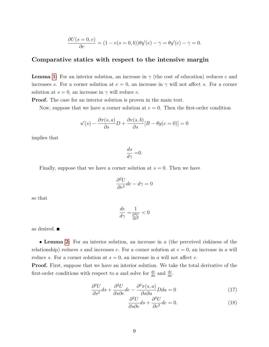$$
\frac{\partial U(s=0,e)}{\partial e} = (1 - v(s=0,b))\theta y'(e) - \gamma = \theta y'(e) - \gamma = 0.
$$

#### **Comparative statics with respect to the intensive margin**

**Lemma [1:](#page--1-0)** For an interior solution, an increase in *γ* (the cost of education) reduces *e* and increases *s*. For a corner solution at  $e = 0$ , an increase in  $\gamma$  will not affect *s*. For a corner solution at  $s = 0$ , an increase in  $\gamma$  will reduce *e*.

**Proof.** The case for an interior solution is proven in the main text.

Now, suppose that we have a corner solution at  $e = 0$ . Then the first-order condition

$$
u'(s) - \frac{\partial \pi(s, a)}{\partial s}D + \frac{\partial v(s, b)}{\partial s}[B - \theta y(e = 0)] = 0
$$

implies that

$$
\frac{ds}{d\gamma} = 0.
$$

Finally, suppose that we have a corner solution at  $s = 0$ . Then we have

$$
\frac{\partial^2 U}{\partial e^2}de - d\gamma = 0
$$

so that

$$
\frac{de}{d\gamma} = \frac{1}{\frac{\partial^2 U}{\partial e^2}} < 0
$$

as desired.

• **Lemma [2:](#page--1-1)** For an interior solution, an increase in *a* (the perceived riskiness of the relationship) reduces *s* and increases *e*. For a corner solution at  $e = 0$ , an increase in *a* will reduce *s*. For a corner solution at  $s = 0$ , an increase in *a* will not affect *e*.

Proof. First, suppose that we have an interior solution. We take the total derivative of the first-order conditions with respect to *a* and solve for  $\frac{de}{da}$  and  $\frac{ds}{da}$ .

$$
\frac{\partial^2 U}{\partial s^2} ds + \frac{\partial^2 U}{\partial s \partial e} de - \frac{\partial^2 \pi(s, a)}{\partial s \partial a} D da = 0
$$
\n(17)

<span id="page-9-0"></span>
$$
\frac{\partial^2 U}{\partial s \partial e} ds + \frac{\partial^2 U}{\partial e^2} de = 0.
$$
 (18)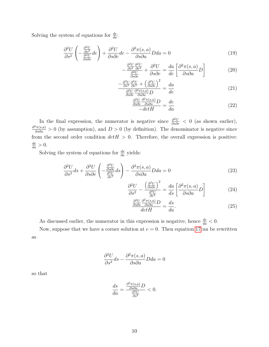Solving the system of equations for  $\frac{de}{da}$ :

$$
\frac{\partial^2 U}{\partial s^2} \left( -\frac{\frac{\partial^2 U}{\partial e^2}}{\frac{\partial^2 U}{\partial s \partial e}} de \right) + \frac{\partial^2 U}{\partial s \partial e} de - \frac{\partial^2 \pi (s, a)}{\partial s \partial a} D da = 0 \tag{19}
$$

$$
-\frac{\frac{\partial^2 U}{\partial s^2} \frac{\partial^2 U}{\partial e^2}}{\frac{\partial^2 U}{\partial s \partial e}} + \frac{\partial^2 U}{\partial s \partial e} = \frac{da}{de} \left[ \frac{\partial^2 \pi(s, a)}{\partial s \partial a} D \right]
$$
(20)

$$
\frac{-\frac{\partial^2 U}{\partial s^2} \frac{\partial^2 U}{\partial e^2} + \left(\frac{\partial^2 U}{\partial s \partial e}\right)^2}{\frac{\partial^2 U}{\partial s \partial e} \frac{\partial^2 \pi(s, a)}{\partial s \partial a} D} = \frac{da}{de}
$$
(21)

$$
\frac{\frac{\partial^2 U}{\partial s \partial e} \frac{\partial^2 \pi(s, a)}{\partial s \partial a} D}{-det H} = \frac{de}{da}
$$
 (22)

In the final expression, the numerator is negative since  $\frac{\partial^2 U}{\partial s \partial e}$  < 0 (as shown earlier),  $\frac{\partial^2 \pi(s,a)}{\partial s \partial a} > 0$  (by assumption), and  $D > 0$  (by definition). The denominator is negative since from the second order condition  $det H > 0$ . Therefore, the overall expression is positive:  $\frac{de}{da} > 0.$ 

Solving the system of equations for  $\frac{ds}{da}$  yields:

$$
\frac{\partial^2 U}{\partial s^2} ds + \frac{\partial^2 U}{\partial s \partial e} \left( -\frac{\frac{\partial^2 U}{\partial s \partial e}}{\frac{\partial^2 U}{\partial e^2}} ds \right) - \frac{\partial^2 \pi(s, a)}{\partial s \partial a} D da = 0
$$
\n(23)

$$
\frac{\partial^2 U}{\partial s^2} - \frac{\left(\frac{\partial^2 U}{\partial s \partial e}\right)^2}{\frac{\partial^2 U}{\partial e^2}} = \frac{da}{ds} \left[ \frac{\partial^2 \pi(s, a)}{\partial s \partial a} D \right]
$$
(24)

$$
\frac{\frac{\partial^2 U}{\partial s \partial e} \frac{\partial^2 \pi (s, a)}{\partial s \partial a} D}{\det H} = \frac{ds}{da}.
$$
\n(25)

As discussed earlier, the numerator in this expression is negative, hence  $\frac{ds}{da} < 0$ .

Now, suppose that we have a corner solution at  $e = 0$ . Then equation [17c](#page-9-0)an be rewritten as

$$
\frac{\partial^2 U}{\partial s^2} ds - \frac{\partial^2 \pi(s, a)}{\partial s \partial a} D da = 0
$$

so that

$$
\frac{ds}{da} = \frac{\frac{\partial^2 \pi(s, a)}{\partial s \partial a} D}{\frac{\partial^2 U}{\partial s^2}} < 0.
$$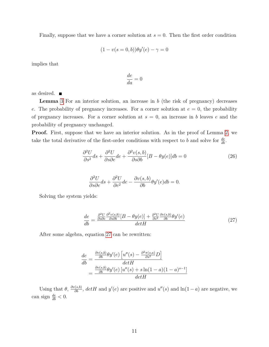Finally, suppose that we have a corner solution at  $s = 0$ . Then the first order condition

$$
(1 - v(s = 0, b))\theta y'(e) - \gamma = 0
$$

implies that

$$
\frac{de}{da} = 0
$$

as desired.

**Lemma** [3](#page--1-2) For an interior solution, an increase in *b* (the risk of pregnancy) decreases *e*. The probability of pregnancy increases. For a corner solution at  $e = 0$ , the probability of pregnancy increases. For a corner solution at  $s = 0$ , an increase in *b* leaves *e* and the probability of pregnancy unchanged.

**Proof.** First, suppose that we have an interior solution. As in the proof of Lemma [2,](#page--1-1) we take the total derivative of the first-order conditions with respect to *b* and solve for  $\frac{de}{db}$ .

<span id="page-11-1"></span>
$$
\frac{\partial^2 U}{\partial s^2} ds + \frac{\partial^2 U}{\partial s \partial e} de + \frac{\partial^2 v(s, b)}{\partial s \partial b} [B - \theta y(e)] db = 0
$$
\n(26)

<span id="page-11-0"></span>
$$
\frac{\partial^2 U}{\partial s \partial e} ds + \frac{\partial^2 U}{\partial e^2} de - \frac{\partial v(s, b)}{\partial b} \theta y'(e) db = 0.
$$

Solving the system yields:

$$
\frac{de}{db} = \frac{\frac{\partial^2 U}{\partial s \partial e} \frac{\partial^2 v(s,b)}{\partial s \partial b} [B - \theta y(e)] + \frac{\partial^2 U}{\partial s^2} \frac{\partial v(s,b)}{\partial b} \theta y'(e)}{det H}
$$
(27)

After some algebra, equation [27](#page-11-0) can be rewritten:

$$
\frac{de}{db} = \frac{\frac{\partial v(s,b)}{\partial b} \theta y'(e) \left[ u''(s) - \frac{\partial^2 \pi(s,a)}{\partial s^2} D \right]}{det H}
$$

$$
= \frac{\frac{\partial v(s,b)}{\partial b} \theta y'(e) \left[ u''(s) + s \ln(1-a)(1-a)^{s-1} \right]}{det H}
$$

Using that  $\theta$ ,  $\frac{\partial v(s,b)}{\partial b}$ ,  $det H$  and  $y'(e)$  are positive and  $u''(s)$  and  $\ln(1-a)$  are negative, we can sign  $\frac{de}{db} < 0$ .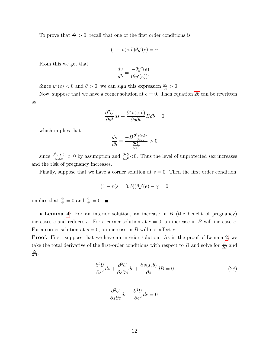To prove that  $\frac{dv}{db} > 0$ , recall that one of the first order conditions is

$$
(1 - v(s, b)\theta y'(e) = \gamma
$$

From this we get that

$$
\frac{dv}{db} = \frac{-\theta y''(e)}{(\theta y'(e))^2}.
$$

Since  $y''(e) < 0$  and  $\theta > 0$ , we can sign this expression  $\frac{dv}{db} > 0$ .

Now, suppose that we have a corner solution at  $e = 0$ . Then equation [26](#page-11-1) can be rewritten as

$$
\frac{\partial^2 U}{\partial s^2} ds + \frac{\partial^2 v(s, b)}{\partial s \partial b} B db = 0
$$

which implies that

$$
\frac{ds}{db} = \frac{-B \frac{\partial^2 v(s, b)}{\partial s \partial b}}{\frac{\partial^2 U}{\partial s^2}} > 0
$$

since  $\frac{\partial^2 v(s,b)}{\partial s \partial b} > 0$  by assumption and  $\frac{\partial^2 U}{\partial s^2} < 0$ . Thus the level of unprotected sex increases and the risk of pregnancy increases.

Finally, suppose that we have a corner solution at  $s = 0$ . Then the first order condition

$$
(1 - v(s = 0, b))\theta y'(e) - \gamma = 0
$$

implies that  $\frac{de}{db} = 0$  and  $\frac{dv}{db} = 0$ .

• **Lemma [4:](#page--1-3)** For an interior solution, an increase in *B* (the benefit of pregnancy) increases *s* and reduces *e*. For a corner solution at  $e = 0$ , an increase in *B* will increase *s*. For a corner solution at  $s = 0$ , an increase in *B* will not affect *e*.

**Proof.** First, suppose that we have an interior solution. As in the proof of Lemma [2,](#page--1-1) we take the total derivative of the first-order conditions with respect to *B* and solve for  $\frac{de}{dB}$  and  $\frac{ds}{dB}$ .

<span id="page-12-0"></span>
$$
\frac{\partial^2 U}{\partial s^2} ds + \frac{\partial^2 U}{\partial s \partial e} de + \frac{\partial v(s, b)}{\partial s} dB = 0
$$
\n(28)

$$
\frac{\partial^2 U}{\partial s \partial e} ds + \frac{\partial^2 U}{\partial e^2} de = 0.
$$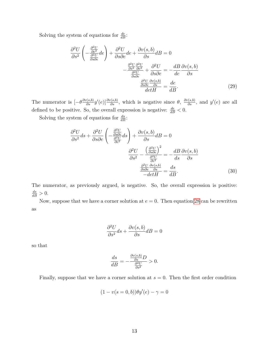Solving the system of equations for  $\frac{de}{dB}$ :

$$
\frac{\partial^2 U}{\partial s^2} \left( -\frac{\frac{\partial^2 U}{\partial \varepsilon^2}}{\frac{\partial^2 U}{\partial s \partial \varepsilon}} de \right) + \frac{\partial^2 U}{\partial s \partial \varepsilon} de + \frac{\partial v(s, b)}{\partial s} dB = 0
$$

$$
-\frac{\frac{\partial^2 U}{\partial s^2} \frac{\partial^2 U}{\partial \varepsilon^2}}{\frac{\partial^2 U}{\partial s \partial \varepsilon}} + \frac{\partial^2 U}{\partial s \partial \varepsilon} = -\frac{dB}{de} \frac{\partial v(s, b)}{\partial s}
$$

$$
\frac{\frac{\partial^2 U}{\partial s \partial \varepsilon} \frac{\partial v(s, b)}{\partial s}}{\partial \varepsilon^2} = \frac{de}{dB}.
$$
(29)

The numerator is  $[-\theta \frac{\partial v(s,b)}{\partial s} y'(e)] \frac{\partial v(s,b)}{\partial s}$ , which is negative since  $\theta$ ,  $\frac{\partial v(s,b)}{\partial s}$ , and  $y'(e)$  are all defined to be positive. So, the overall expression is negative:  $\frac{de}{dB} < 0$ .

Solving the system of equations for  $\frac{ds}{dB}$ :

$$
\frac{\partial^2 U}{\partial s^2} ds + \frac{\partial^2 U}{\partial s \partial e} \left( -\frac{\frac{\partial^2 U}{\partial s \partial e}}{\frac{\partial^2 U}{\partial e^2}} ds \right) + \frac{\partial v(s, b)}{\partial s} dB = 0
$$

$$
\frac{\partial^2 U}{\partial s^2} - \frac{\left(\frac{\partial^2 U}{\partial s \partial e}\right)^2}{\frac{\partial^2 U}{\partial e^2}} = -\frac{dB}{ds} \frac{\partial v(s, b)}{\partial s}
$$

$$
\frac{\frac{\partial^2 U}{\partial s \partial e} \frac{\partial v(s, b)}{\partial s}}{\frac{\partial s \partial e} \frac{\partial v(s, b)}{\partial s}} = \frac{ds}{dB}.
$$
(30)

The numerator, as previously argued, is negative. So, the overall expression is positive:  $\frac{ds}{dB} > 0.$ 

Now, suppose that we have a corner solution at  $e = 0$ . Then equation [28](#page-12-0) can be rewritten as

$$
\frac{\partial^2 U}{\partial s^2} ds + \frac{\partial v(s, b)}{\partial s} dB = 0
$$

so that

$$
\frac{ds}{dB} = -\frac{\frac{\partial v(s,b)}{\partial s}D}{\frac{\partial^2 U}{\partial s^2}} > 0.
$$

Finally, suppose that we have a corner solution at  $s = 0$ . Then the first order condition

$$
(1 - v(s = 0, b))\theta y'(e) - \gamma = 0
$$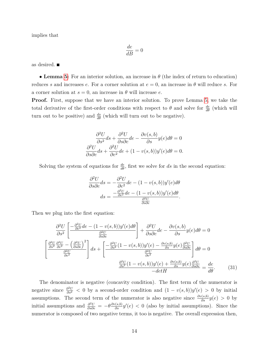implies that

$$
\frac{de}{dB} = 0
$$

as desired.

• **Lemma [5:](#page--1-4)** For an interior solution, an increase in *θ* (the index of return to education) reduces *s* and increases *e*. For a corner solution at  $e = 0$ , an increase in  $\theta$  will reduce *s*. For a corner solution at  $s = 0$ , an increase in  $\theta$  will increase *e*.

**Proof.** First, suppose that we have an interior solution. To prove Lemma [5,](#page--1-4) we take the total derivative of the first-order conditions with respect to  $\theta$  and solve for  $\frac{de}{d\theta}$  (which will turn out to be positive) and  $\frac{ds}{d\theta}$  (which will turn out to be negative).

$$
\frac{\partial^2 U}{\partial s^2} ds + \frac{\partial^2 U}{\partial s \partial e} de - \frac{\partial v(s, b)}{\partial s} y(e) d\theta = 0
$$

$$
\frac{\partial^2 U}{\partial s \partial e} ds + \frac{\partial^2 U}{\partial e^2} de + (1 - v(s, b)) y'(e) d\theta = 0.
$$

Solving the system of equations for  $\frac{de}{d\theta}$ , first we solve for *ds* in the second equation:

$$
\frac{\partial^2 U}{\partial s \partial e} ds = -\frac{\partial^2 U}{\partial e^2} de - (1 - v(s, b)) y'(e) d\theta
$$

$$
ds = \frac{-\frac{\partial^2 U}{\partial e^2} de - (1 - v(s, b)) y'(e) d\theta}{\frac{\partial^2 U}{\partial s \partial e}}.
$$

Then we plug into the first equation:

$$
\frac{\partial^2 U}{\partial s^2} \left[ \frac{-\frac{\partial^2 U}{\partial e^2} de - (1 - v(s, b)) y'(e) d\theta}{\frac{\partial^2 U}{\partial s \partial e}} \right] + \frac{\partial^2 U}{\partial s \partial e} de - \frac{\partial v(s, b)}{\partial s} y(e) d\theta = 0
$$
  

$$
\left[ \frac{\frac{\partial^2 U}{\partial s^2} \frac{\partial^2 U}{\partial e^2} - \left(\frac{\partial^2 U}{\partial s \partial e}\right)^2}{\frac{\partial^2 U}{\partial e^2}} \right] ds + \left[ \frac{-\frac{\partial^2 U}{\partial s^2} (1 - v(s, b)) y'(e) - \frac{\partial v(s, b)}{\partial s} y(e) \frac{\partial^2 U}{\partial s \partial e}}{\frac{\partial^2 U}{\partial e^2}} \right] d\theta = 0
$$
  

$$
\frac{\frac{\partial^2 U}{\partial s^2} (1 - v(s, b)) y'(e) + \frac{\partial v(s, b)}{\partial s} y(e) \frac{\partial^2 U}{\partial s \partial e}}{-det H} = \frac{de}{d\theta}.
$$
(31)

The denominator is negative (concavity condition). The first term of the numerator is negative since  $\frac{\partial^2 U}{\partial s^2}$  *<* 0 by a second-order condition and  $(1 - v(s, b))y'(e) > 0$  by initial assumptions. The second term of the numerator is also negative since  $\frac{\partial v(s,b)}{\partial s}y(e) > 0$  by initial assumptions and  $\frac{\partial^2 U}{\partial s \partial e} = -\theta \frac{\partial v(s,b)}{\partial s} y'(e) < 0$  (also by initial assumptions). Since the numerator is composed of two negative terms, it too is negative. The overall expression then,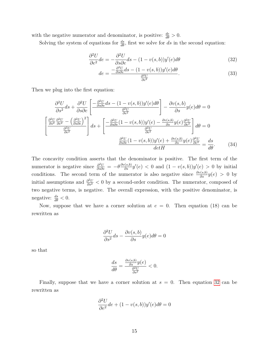with the negative numerator and denominator, is positive:  $\frac{de}{d\theta} > 0$ .

Solving the system of equations for  $\frac{ds}{d\theta}$ , first we solve for *ds* in the second equation:

$$
\frac{\partial^2 U}{\partial e^2}de = -\frac{\partial^2 U}{\partial s \partial e}ds - (1 - v(s, b))y'(e)d\theta
$$
\n(32)

<span id="page-15-0"></span>
$$
de = \frac{-\frac{\partial^2 U}{\partial s \partial e} ds - (1 - v(s, b)) y'(e) d\theta}{\frac{\partial^2 U}{\partial e^2}}.
$$
\n(33)

Then we plug into the first equation:

$$
\frac{\partial^2 U}{\partial s^2} ds + \frac{\partial^2 U}{\partial s \partial e} \left[ \frac{-\frac{\partial^2 U}{\partial s \partial e} ds - (1 - v(s, b)) y'(e) d\theta}{\frac{\partial^2 U}{\partial e^2}} \right] - \frac{\partial v(s, b)}{\partial s} y(e) d\theta = 0
$$
  

$$
\left[ \frac{\frac{\partial^2 U}{\partial s^2} \frac{\partial^2 U}{\partial e^2} - \left(\frac{\partial^2 U}{\partial s \partial e}\right)^2}{\frac{\partial^2 U}{\partial e^2}} \right] ds + \left[ \frac{-\frac{\partial^2 U}{\partial s \partial e} (1 - v(s, b)) y'(e) - \frac{\partial v(s, b)}{\partial s} y(e) \frac{\partial^2 U}{\partial e^2}}{\frac{\partial^2 U}{\partial e^2}} \right] d\theta = 0
$$
  

$$
\frac{\frac{\partial^2 U}{\partial s \partial e} (1 - v(s, b)) y'(e) + \frac{\partial v(s, b)}{\partial s} y(e) \frac{\partial^2 U}{\partial e^2}}{\frac{\partial^2 U}{\partial e^2}} = \frac{ds}{d\theta}.
$$
(34)

The concavity condition asserts that the denominator is positive. The first term of the numerator is negative since  $\frac{\partial^2 U}{\partial s \partial e} = -\theta \frac{\partial v(s,b)}{\partial s} y'(e) < 0$  and  $(1 - v(s,b))y'(e) > 0$  by initial conditions. The second term of the numerator is also negative since  $\frac{\partial v(s,b)}{\partial s}y(e) > 0$  by initial assumptions and  $\frac{\partial^2 U}{\partial s^2}$  *< 0 by a second-order condition. The numerator, composed of* two negative terms, is negative. The overall expression, with the positive denominator, is negative:  $\frac{ds}{d\theta} < 0$ .

Now, suppose that we have a corner solution at  $e = 0$ . Then equation (18) can be rewritten as

$$
\frac{\partial^2 U}{\partial s^2} ds - \frac{\partial v(s, b)}{\partial s} y(e) d\theta = 0
$$

so that

$$
\frac{ds}{d\theta} = \frac{\frac{\partial v(s,b)}{\partial s}y(e)}{\frac{\partial^2 U}{\partial s^2}} < 0.
$$

Finally, suppose that we have a corner solution at  $s = 0$ . Then equation [32](#page-15-0) can be rewritten as

$$
\frac{\partial^2 U}{\partial e^2}de + (1 - v(s, b))y'(e)d\theta = 0
$$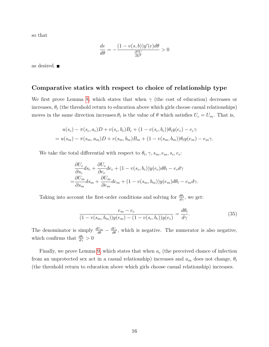so that

$$
\frac{de}{d\theta}=-\frac{(1-v(s,b))y'(e)d\theta}{\frac{\partial^2 U}{\partial e^2}}>0
$$

as desired.

#### **Comparative statics with respect to choice of relationship type**

We first prove Lemma [8,](#page--1-5) which states that when  $\gamma$  (the cost of education) decreases or increases,  $\theta_t$  (the threshold return to education above which girls choose casual relationships) moves in the same direction increases. $\theta_t$  is the value of  $\theta$  which satisfies  $U_c = U_m$ . That is,

$$
u(s_c) - \pi(s_c, a_c)D + v(s_c, b_c)B_c + (1 - v(s_c, b_c))\theta_t y(e_c) - e_c \gamma
$$
  
=  $u(s_m) - \pi(s_m, a_m)D + v(s_m, b_m)B_m + (1 - v(s_m, b_m))\theta_t y(e_m) - e_m \gamma$ .

We take the total differential with respect to  $\theta_t$ ,  $\gamma$ ,  $s_m$ ,  $e_m$ ,  $s_c$ ,  $e_c$ :

$$
\frac{\partial U_c}{\partial s_c} ds_c + \frac{\partial U_c}{\partial e_c} de_c + (1 - v(s_c, b_c))y(e_c)d\theta_t - e_c d\gamma
$$
  
= 
$$
\frac{\partial U_m}{\partial s_m} ds_m + \frac{\partial U_m}{\partial e_m} de_m + (1 - v(s_m, b_m))y(e_m)d\theta_t - e_m d\gamma.
$$

Taking into account the first-order conditions and solving for  $\frac{d\theta_t}{d\gamma}$ , we get:

$$
\frac{e_m - e_c}{(1 - v(s_m, b_m))y(e_m) - (1 - v(s_c, b_c))y(e_c)} = \frac{d\theta_t}{d\gamma}.
$$
\n(35)

The denominator is simply  $\frac{dU_m}{d\theta} - \frac{dU_c}{d\theta}$ , which is negative. The numerator is also negative, which confirms that  $\frac{d\theta_t}{d\gamma} > 0$ 

Finally, we prove Lemma [9,](#page--1-6) which states that when *a<sup>c</sup>* (the perceived chance of infection from an unprotected sex act in a casual relationship) increases and  $a_m$  does not change,  $\theta_t$ (the threshold return to education above which girls choose casual relationship) increases.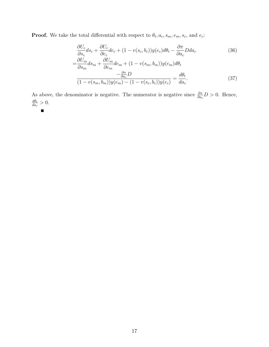**Proof.** We take the total differential with respect to  $\theta_t$ ,  $a_c$ ,  $s_m$ ,  $e_m$ ,  $s_c$ , and  $e_c$ :

$$
\frac{\partial U_c}{\partial s_c} ds_c + \frac{\partial U_c}{\partial e_c} de_c + (1 - v(s_c, b_c))y(e_c) d\theta_t - \frac{\partial \pi}{\partial a_c} Dda_c
$$
\n
$$
= \frac{\partial U_m}{\partial s_m} ds_m + \frac{\partial U_m}{\partial e_m} de_m + (1 - v(s_m, b_m))y(e_m) d\theta_t
$$
\n
$$
- \frac{\partial \pi}{\partial a_c} D
$$
\n
$$
\frac{-\frac{\partial \pi}{\partial a_c} D}{(1 - v(s_m, b_m))y(e_m) - (1 - v(s_c, b_c))y(e_c)} = \frac{d\theta_t}{da_c}.
$$
\n(37)

As above, the denominator is negative. The numerator is negative since  $\frac{\partial \pi}{\partial a_c} D > 0$ . Hence, *dθt*  $\frac{d\theta_t}{da_c} > 0.$ 

$$
\qquad \qquad \blacksquare
$$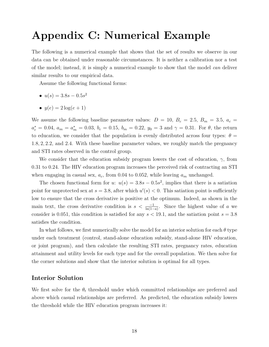# **Appendix C: Numerical Example**

The following is a numerical example that shows that the set of results we observe in our data can be obtained under reasonable circumstances. It is neither a calibration nor a test of the model; instead, it is simply a numerical example to show that the model *can* deliver similar results to our empirical data.

Assume the following functional forms:

- $u(s) = 3.8s 0.5s^2$
- $y(e) = 2 \log(e + 1)$

We assume the following baseline parameter values:  $D = 10$ ,  $B_c = 2.5$ ,  $B_m = 3.5$ ,  $a_c =$  $a_c^* = 0.04$ ,  $a_m = a_m^* = 0.03$ ,  $b_c = 0.15$ ,  $b_m = 0.22$ ,  $y_0 = 3$  and  $\gamma = 0.31$ . For  $\theta$ , the return to education, we consider that the population is evenly distributed across four types:  $\theta =$ 1*.*8*,* 2*,* 2*.*2, and 2*.*4. With these baseline parameter values, we roughly match the pregnancy and STI rates observed in the control group.

We consider that the education subsidy program lowers the cost of education, *γ*, from 0.31 to 0.24. The HIV education program increases the perceived risk of contracting an STI when engaging in casual sex,  $a_c$ , from 0.04 to 0.052, while leaving  $a_m$  unchanged.

The chosen functional form for *u*:  $u(s) = 3.8s - 0.5s^2$ , implies that there is a satiation point for unprotected sex at  $s = 3.8$ , after which  $u'(s) < 0$ . This satiation point is sufficiently low to ensure that the cross derivative is positive at the optimum. Indeed, as shown in the main text, the cross derivative condition is  $s < \frac{-1}{\ln(1-a)}$ . Since the highest value of *a* we consider is 0.051, this condition is satisfied for any  $s < 19.1$ , and the satiation point  $s = 3.8$ satisfies the condition.

In what follows, we first numerically solve the model for an interior solution for each *θ* type under each treatment (control, stand-alone education subsidy, stand-alone HIV education, or joint program), and then calculate the resulting STI rates, pregnancy rates, education attainment and utility levels for each type and for the overall population. We then solve for the corner solutions and show that the interior solution is optimal for all types.

#### **Interior Solution**

We first solve for the *θ<sup>t</sup>* threshold under which committed relationships are preferred and above which casual relationships are preferred. As predicted, the education subsidy lowers the threshold while the HIV education program increases it: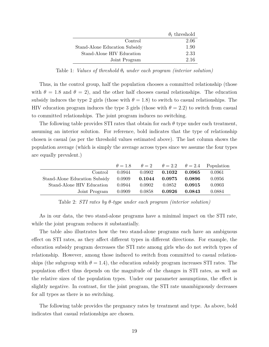|                               | $\theta_t$ threshold |
|-------------------------------|----------------------|
| Control                       | 2.06                 |
| Stand-Alone Education Subsidy | 1.90                 |
| Stand-Alone HIV Education     | 2.33                 |
| Joint Program                 | 2.16                 |

Table 1: *Values of threshold*  $\theta_t$  *under each program (interior solution)* 

Thus, in the control group, half the population chooses a committed relationship (those with  $\theta = 1.8$  and  $\theta = 2$ ), and the other half chooses casual relationships. The education subsidy induces the type 2 girls (those with  $\theta = 1.8$ ) to switch to casual relationships. The HIV education program induces the type 3 girls (those with  $\theta = 2.2$ ) to switch from casual to committed relationships. The joint program induces no switching.

The following table provides STI rates that obtain for each *θ* type under each treatment, assuming an interior solution. For reference, bold indicates that the type of relationship chosen is casual (as per the threshold values estimated above). The last column shows the population average (which is simply the average across types since we assume the four types are equally prevalent.)

|                               | $\theta = 1.8$ |              |        |        | $\theta = 2$ $\theta = 2.2$ $\theta = 2.4$ Population |
|-------------------------------|----------------|--------------|--------|--------|-------------------------------------------------------|
| Control                       | 0.0944         | 0.0902       | 0.1032 | 0.0965 | 0.0961                                                |
| Stand-Alone Education Subsidy | 0.0909         | $\,0.1044\,$ | 0.0975 | 0.0896 | 0.0956                                                |
| Stand-Alone HIV Education     | 0.0944         | 0.0902       | 0.0852 | 0.0915 | 0.0903                                                |
| Joint Program                 | 0.0909         | 0.0858       | 0.0926 | 0.0843 | 0.0884                                                |

Table 2: *STI rates by θ-type under each program (interior solution)*

As in our data, the two stand-alone programs have a minimal impact on the STI rate, while the joint program reduces it substantially.

The table also illustrates how the two stand-alone programs each have an ambiguous effect on STI rates, as they affect different types in different directions. For example, the education subsidy program decreases the STI rate among girls who do not switch types of relationship. However, among those induced to switch from committed to casual relationships (the subgroup with  $\theta = 1.4$ ), the education subsidy program increases STI rates. The population effect thus depends on the magnitude of the changes in STI rates, as well as the relative sizes of the population types. Under our parameter assumptions, the effect is slightly negative. In contrast, for the joint program, the STI rate unambiguously decreases for all types as there is no switching.

The following table provides the pregnancy rates by treatment and type. As above, bold indicates that casual relationships are chosen.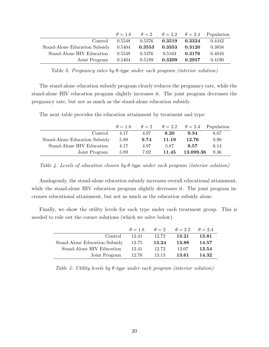|                                      | $\theta = 1.8$ |                   |        |        | $\theta = 2$ $\theta = 2.2$ $\theta = 2.4$ Population |
|--------------------------------------|----------------|-------------------|--------|--------|-------------------------------------------------------|
| Control                              | 0.5548         | 0.5376            | 0.3519 | 0.3324 | 0.4442                                                |
| Stand-Alone Education Subsidy 0.5404 |                | $\mathbf{0.3553}$ | 0.3353 | 0.3120 | 0.3858                                                |
| Stand-Alone HIV Education            | 0.5548         | 0.5376            | 0.5163 | 0.3176 | 0.4816                                                |
| Joint Program                        | 0.5404         | 0.5189            | 0.3209 | 0.2957 | 0.4190                                                |

Table 3: *Pregnancy rates by θ-type under each program (interior solution)*

The stand-alone education subsidy program clearly reduces the pregnancy rate, while the stand-alone HIV education program slightly increases it. The joint program decreases the pregnancy rate, but not as much as the stand-alone education subsidy.

The next table provides the education attainment by treatment and type:

| $\theta = 1.8$ |      |       |           |                                                       |
|----------------|------|-------|-----------|-------------------------------------------------------|
| 4.17           | 4.97 | 8.20  | 9.34      | 6.67                                                  |
| 5.89           | 9.74 | 11.19 | 12.76     | 9.90                                                  |
| 4.17           | 4.97 | 5.87  | 9.57      | 6.14                                                  |
| 5.89           | 7.02 | 11.45 | 13.099.36 | 9.36                                                  |
|                |      |       |           | $\theta = 2$ $\theta = 2.2$ $\theta = 2.4$ Population |

*Table 4: Levels of education chosen by θ-type under each program (interior solution)*

Analogously, the stand-alone education subsidy increases overall educational attainment, while the stand-alone HIV education program slightly decreases it. The joint program increases educational attainment, but not as much as the education subsidy alone.

Finally, we show the utility levels for each type under each treatment group. This is needed to rule out the corner solutions (which we solve below).

|                               |       |       | $\theta = 1.8$ $\theta = 2$ $\theta = 2.2$ $\theta = 2.4$ |       |
|-------------------------------|-------|-------|-----------------------------------------------------------|-------|
| Control                       | 12.41 | 12.72 | 13.21                                                     | 13.81 |
| Stand-Alone Education Subsidy | 12.75 | 13.24 | 13.88                                                     | 14.57 |
| Stand-Alone HIV Education     | 12.41 | 12.72 | 13.07                                                     | 13.54 |
| Joint Program                 | 12.76 | 13.13 | 13.61                                                     | 14.32 |

*Table 5: Utility levels by θ-type under each program (interior solution)*